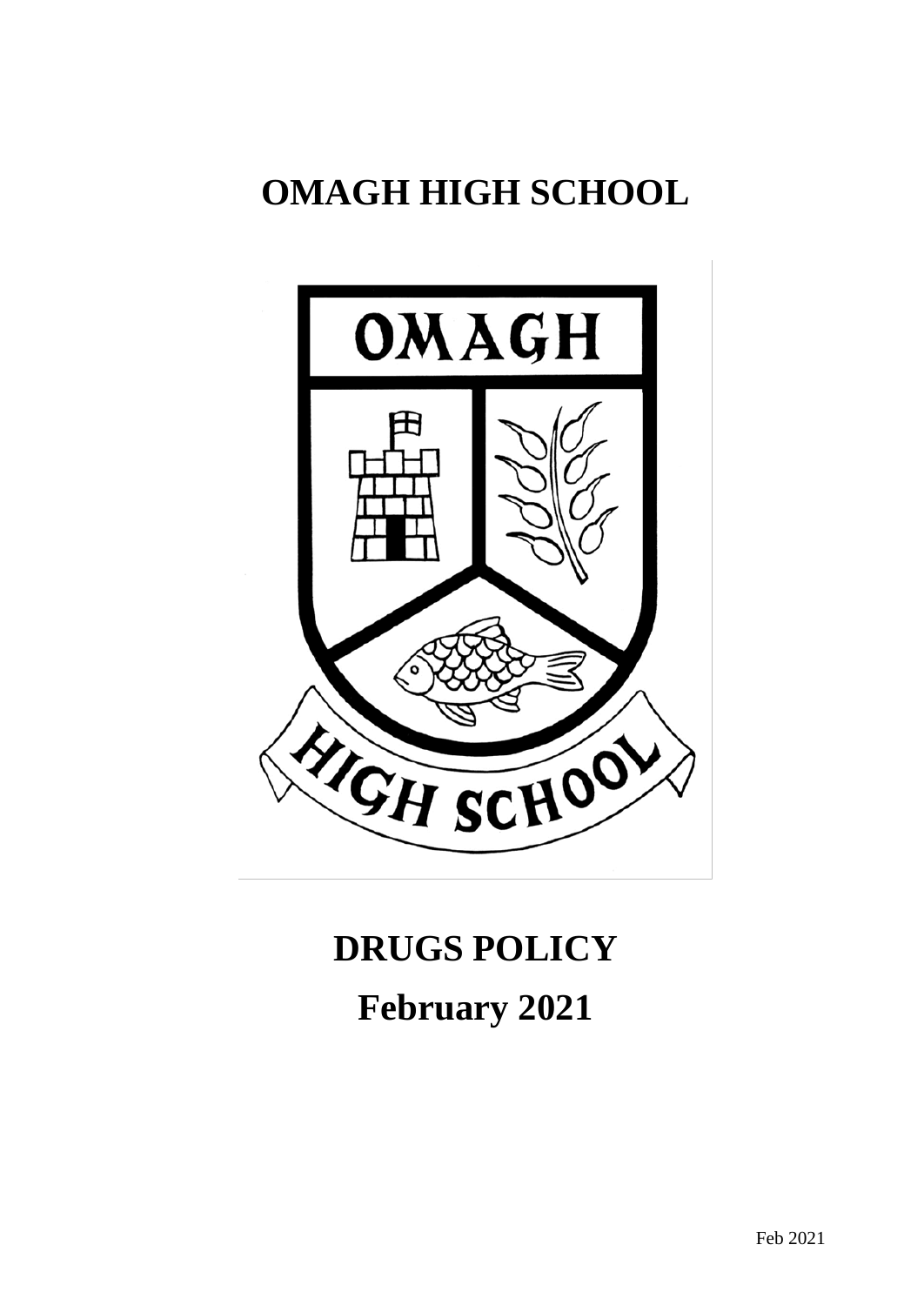# **OMAGH HIGH SCHOOL**



# **DRUGS POLICY February 2021**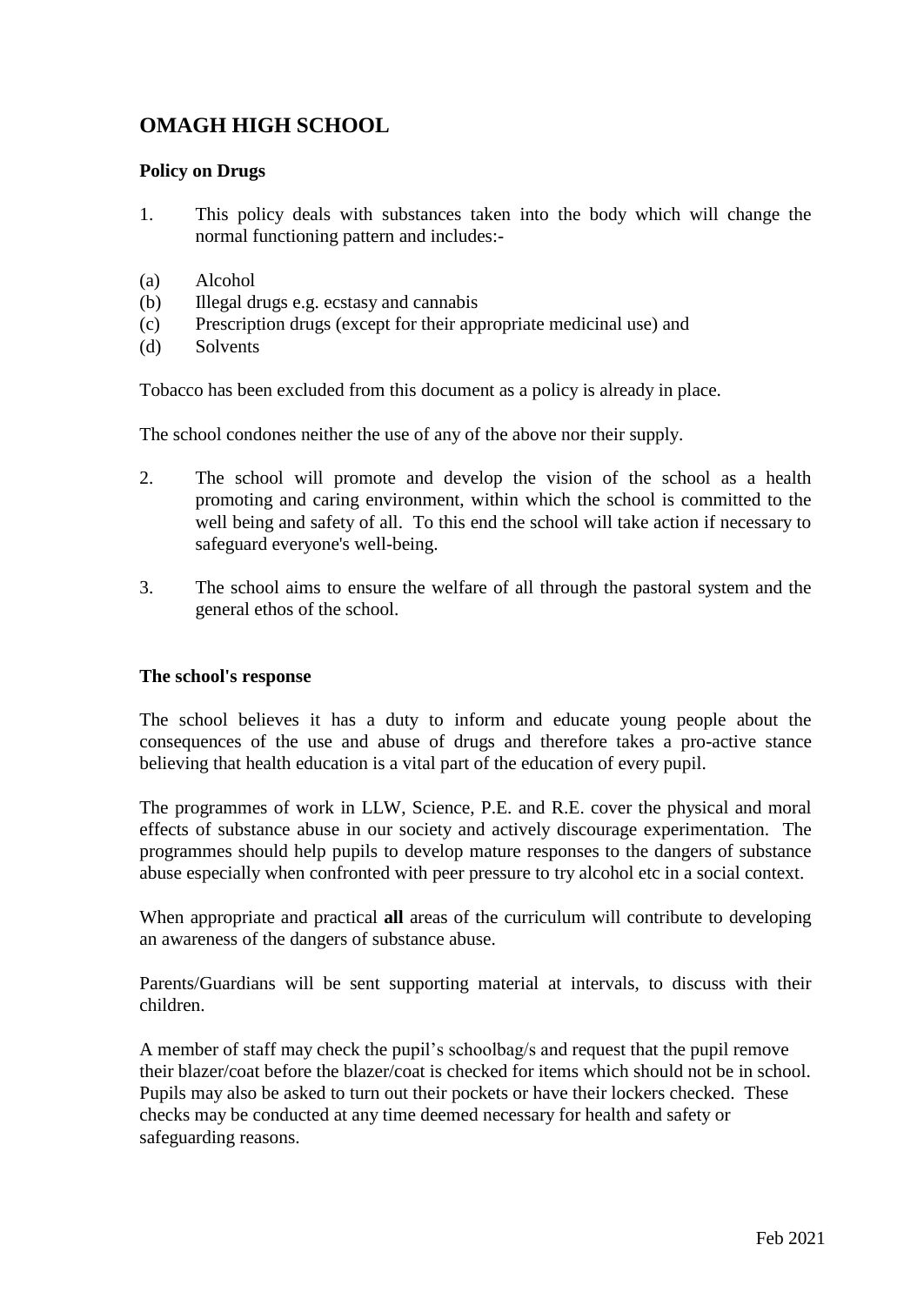## **OMAGH HIGH SCHOOL**

#### **Policy on Drugs**

- 1. This policy deals with substances taken into the body which will change the normal functioning pattern and includes:-
- (a) Alcohol
- (b) Illegal drugs e.g. ecstasy and cannabis
- (c) Prescription drugs (except for their appropriate medicinal use) and
- (d) Solvents

Tobacco has been excluded from this document as a policy is already in place.

The school condones neither the use of any of the above nor their supply.

- 2. The school will promote and develop the vision of the school as a health promoting and caring environment, within which the school is committed to the well being and safety of all. To this end the school will take action if necessary to safeguard everyone's well-being.
- 3. The school aims to ensure the welfare of all through the pastoral system and the general ethos of the school.

#### **The school's response**

The school believes it has a duty to inform and educate young people about the consequences of the use and abuse of drugs and therefore takes a pro-active stance believing that health education is a vital part of the education of every pupil.

The programmes of work in LLW, Science, P.E. and R.E. cover the physical and moral effects of substance abuse in our society and actively discourage experimentation. The programmes should help pupils to develop mature responses to the dangers of substance abuse especially when confronted with peer pressure to try alcohol etc in a social context.

When appropriate and practical **all** areas of the curriculum will contribute to developing an awareness of the dangers of substance abuse.

Parents/Guardians will be sent supporting material at intervals, to discuss with their children.

A member of staff may check the pupil's schoolbag/s and request that the pupil remove their blazer/coat before the blazer/coat is checked for items which should not be in school. Pupils may also be asked to turn out their pockets or have their lockers checked. These checks may be conducted at any time deemed necessary for health and safety or safeguarding reasons.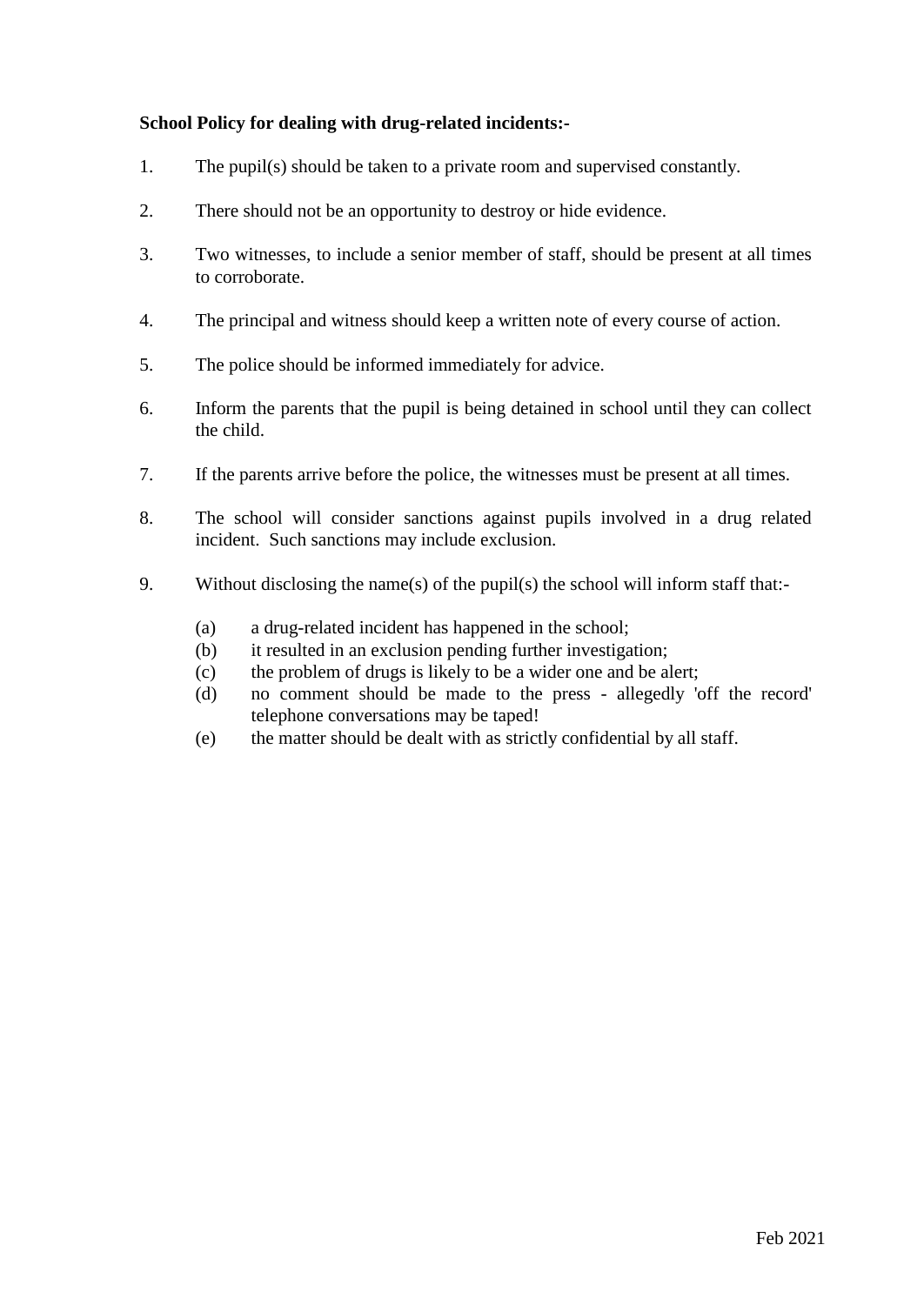#### **School Policy for dealing with drug-related incidents:-**

- 1. The pupil(s) should be taken to a private room and supervised constantly.
- 2. There should not be an opportunity to destroy or hide evidence.
- 3. Two witnesses, to include a senior member of staff, should be present at all times to corroborate.
- 4. The principal and witness should keep a written note of every course of action.
- 5. The police should be informed immediately for advice.
- 6. Inform the parents that the pupil is being detained in school until they can collect the child.
- 7. If the parents arrive before the police, the witnesses must be present at all times.
- 8. The school will consider sanctions against pupils involved in a drug related incident. Such sanctions may include exclusion.
- 9. Without disclosing the name(s) of the pupil(s) the school will inform staff that:-
	- (a) a drug-related incident has happened in the school;
	- (b) it resulted in an exclusion pending further investigation;
	- (c) the problem of drugs is likely to be a wider one and be alert;
	- (d) no comment should be made to the press allegedly 'off the record' telephone conversations may be taped!
	- (e) the matter should be dealt with as strictly confidential by all staff.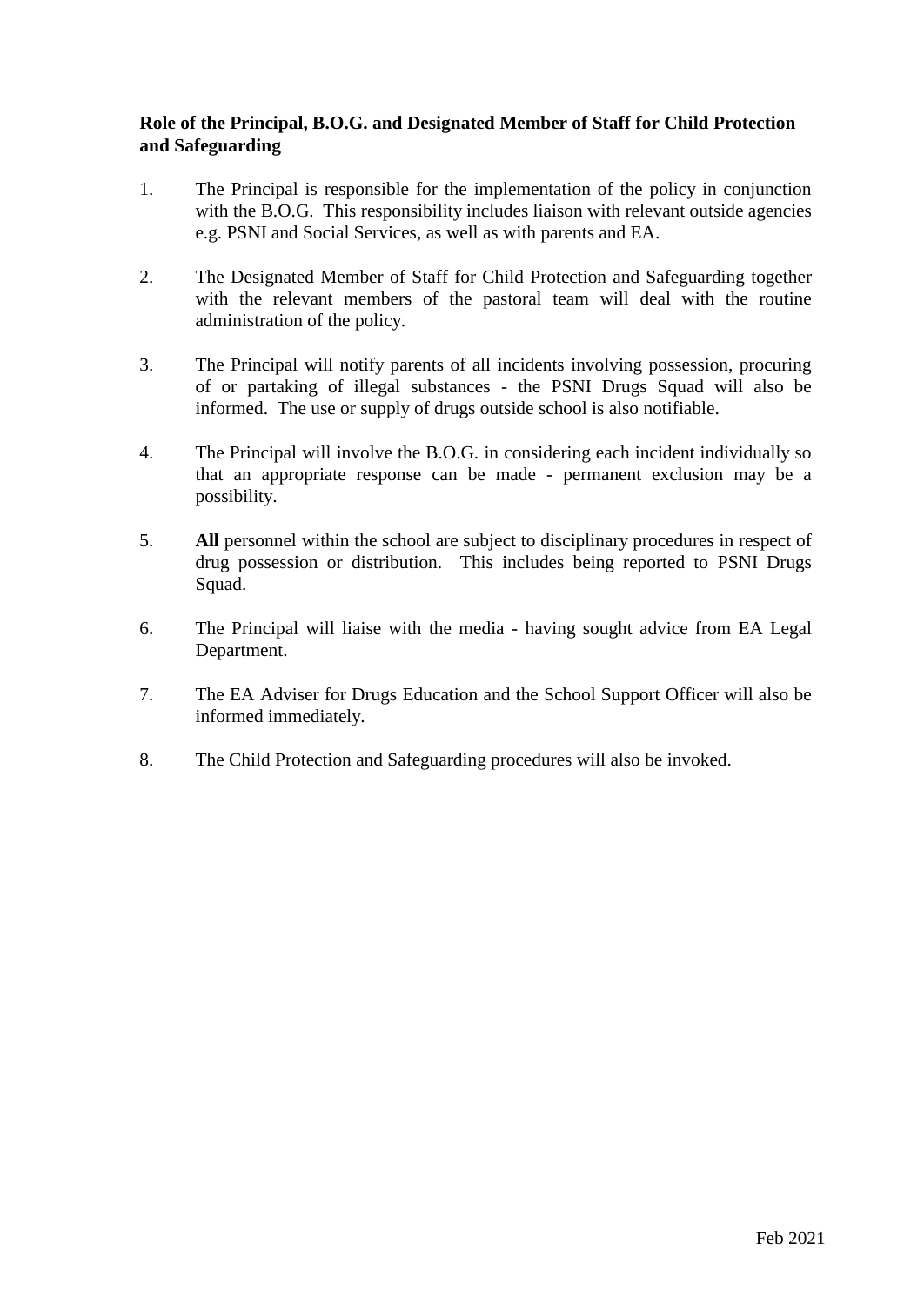#### **Role of the Principal, B.O.G. and Designated Member of Staff for Child Protection and Safeguarding**

- 1. The Principal is responsible for the implementation of the policy in conjunction with the B.O.G. This responsibility includes liaison with relevant outside agencies e.g. PSNI and Social Services, as well as with parents and EA.
- 2. The Designated Member of Staff for Child Protection and Safeguarding together with the relevant members of the pastoral team will deal with the routine administration of the policy.
- 3. The Principal will notify parents of all incidents involving possession, procuring of or partaking of illegal substances - the PSNI Drugs Squad will also be informed. The use or supply of drugs outside school is also notifiable.
- 4. The Principal will involve the B.O.G. in considering each incident individually so that an appropriate response can be made - permanent exclusion may be a possibility.
- 5. **All** personnel within the school are subject to disciplinary procedures in respect of drug possession or distribution. This includes being reported to PSNI Drugs Squad.
- 6. The Principal will liaise with the media having sought advice from EA Legal Department.
- 7. The EA Adviser for Drugs Education and the School Support Officer will also be informed immediately.
- 8. The Child Protection and Safeguarding procedures will also be invoked.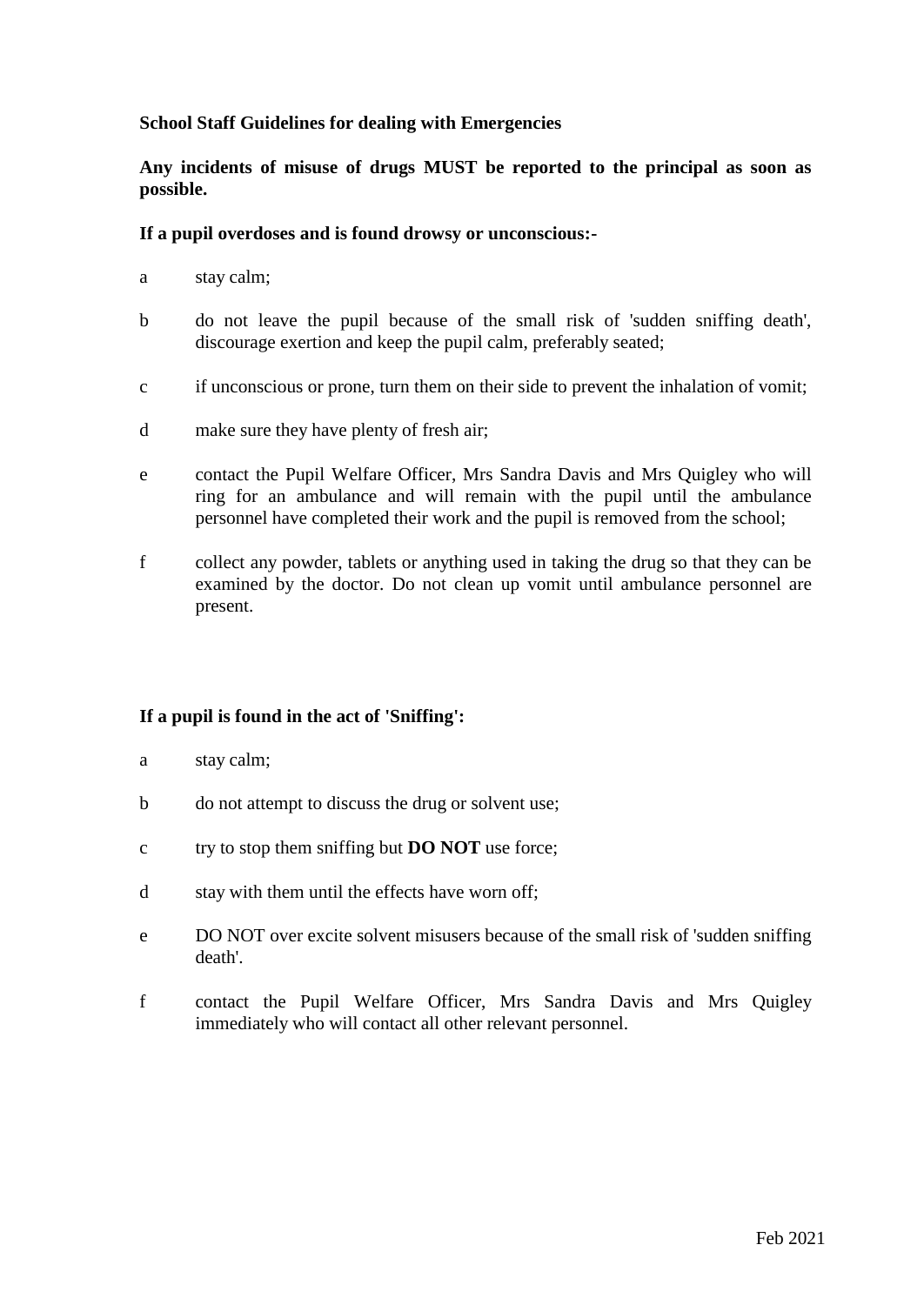#### **School Staff Guidelines for dealing with Emergencies**

**Any incidents of misuse of drugs MUST be reported to the principal as soon as possible.**

#### **If a pupil overdoses and is found drowsy or unconscious:-**

- a stay calm;
- b do not leave the pupil because of the small risk of 'sudden sniffing death', discourage exertion and keep the pupil calm, preferably seated;
- c if unconscious or prone, turn them on their side to prevent the inhalation of vomit;
- d make sure they have plenty of fresh air;
- e contact the Pupil Welfare Officer, Mrs Sandra Davis and Mrs Quigley who will ring for an ambulance and will remain with the pupil until the ambulance personnel have completed their work and the pupil is removed from the school;
- f collect any powder, tablets or anything used in taking the drug so that they can be examined by the doctor. Do not clean up vomit until ambulance personnel are present.

#### **If a pupil is found in the act of 'Sniffing':**

- a stay calm;
- b do not attempt to discuss the drug or solvent use;
- c try to stop them sniffing but **DO NOT** use force;
- d stay with them until the effects have worn off;
- e DO NOT over excite solvent misusers because of the small risk of 'sudden sniffing death'.
- f contact the Pupil Welfare Officer, Mrs Sandra Davis and Mrs Quigley immediately who will contact all other relevant personnel.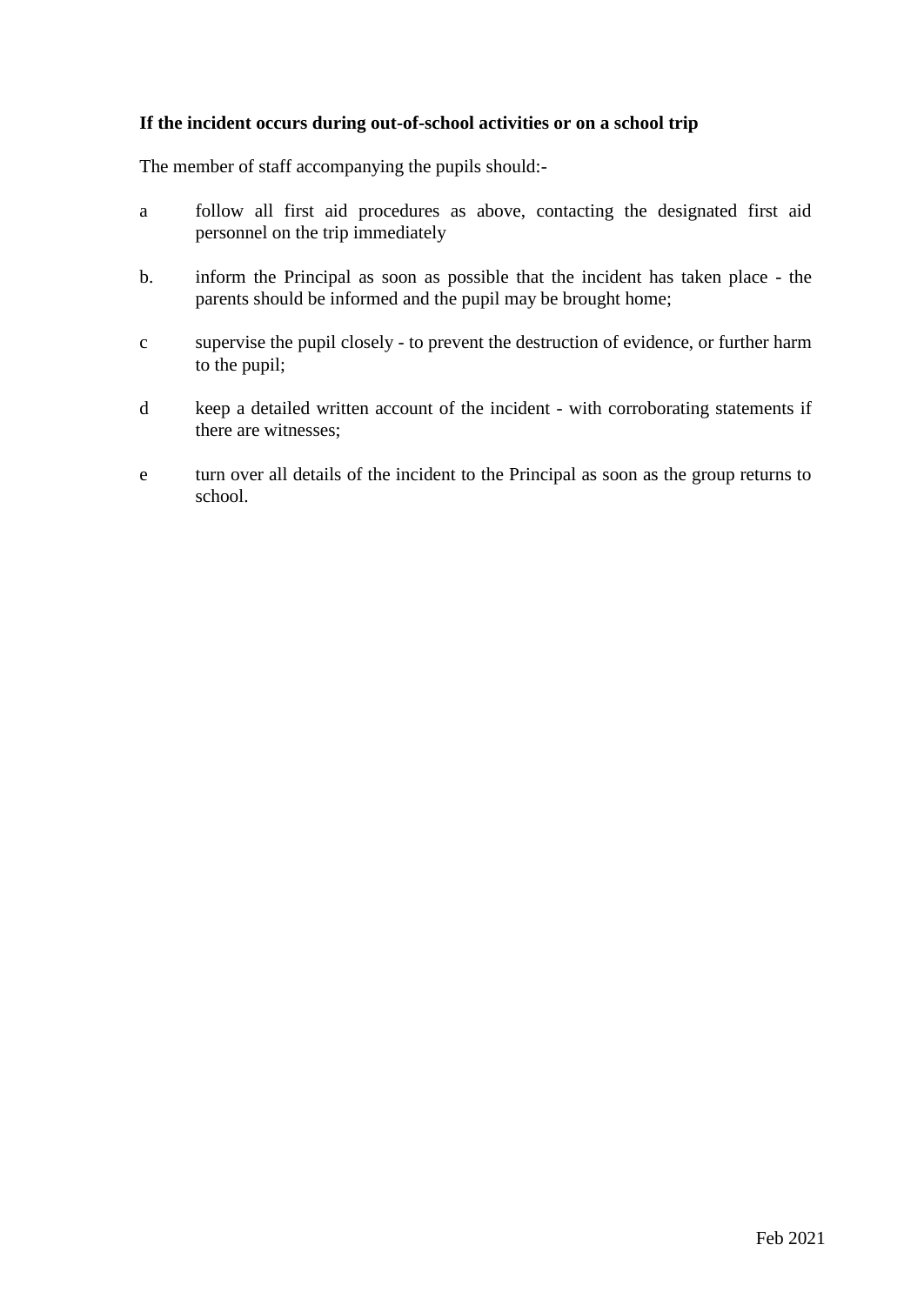#### **If the incident occurs during out-of-school activities or on a school trip**

The member of staff accompanying the pupils should:-

- a follow all first aid procedures as above, contacting the designated first aid personnel on the trip immediately
- b. inform the Principal as soon as possible that the incident has taken place the parents should be informed and the pupil may be brought home;
- c supervise the pupil closely to prevent the destruction of evidence, or further harm to the pupil;
- d keep a detailed written account of the incident with corroborating statements if there are witnesses;
- e turn over all details of the incident to the Principal as soon as the group returns to school.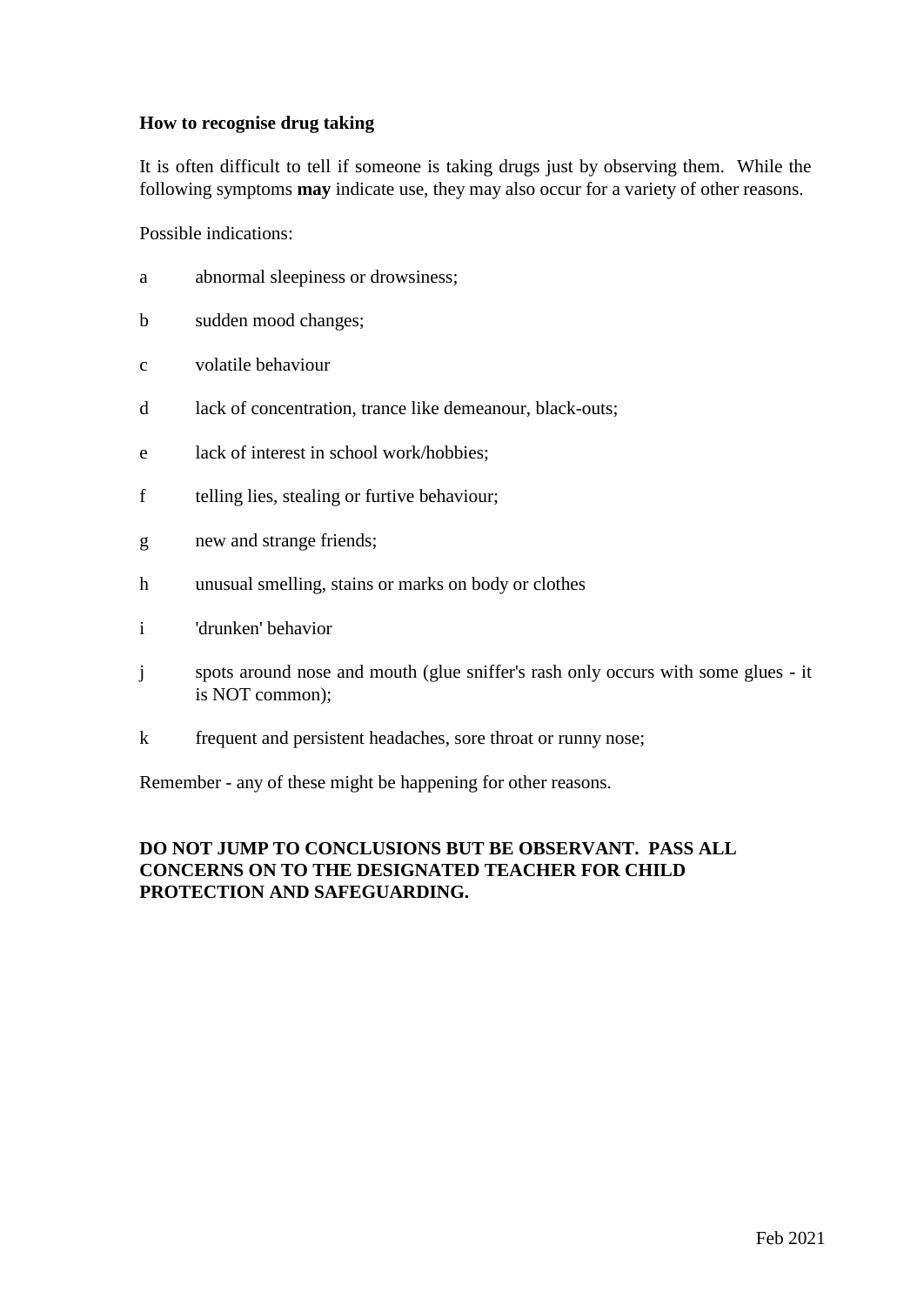#### **How to recognise drug taking**

It is often difficult to tell if someone is taking drugs just by observing them. While the following symptoms **may** indicate use, they may also occur for a variety of other reasons.

Possible indications:

- a abnormal sleepiness or drowsiness;
- b sudden mood changes;
- c volatile behaviour
- d lack of concentration, trance like demeanour, black-outs;
- e lack of interest in school work/hobbies;
- f telling lies, stealing or furtive behaviour;
- g new and strange friends;
- h unusual smelling, stains or marks on body or clothes
- i 'drunken' behavior
- j spots around nose and mouth (glue sniffer's rash only occurs with some glues it is NOT common);
- k frequent and persistent headaches, sore throat or runny nose;

Remember - any of these might be happening for other reasons.

#### **DO NOT JUMP TO CONCLUSIONS BUT BE OBSERVANT. PASS ALL CONCERNS ON TO THE DESIGNATED TEACHER FOR CHILD PROTECTION AND SAFEGUARDING.**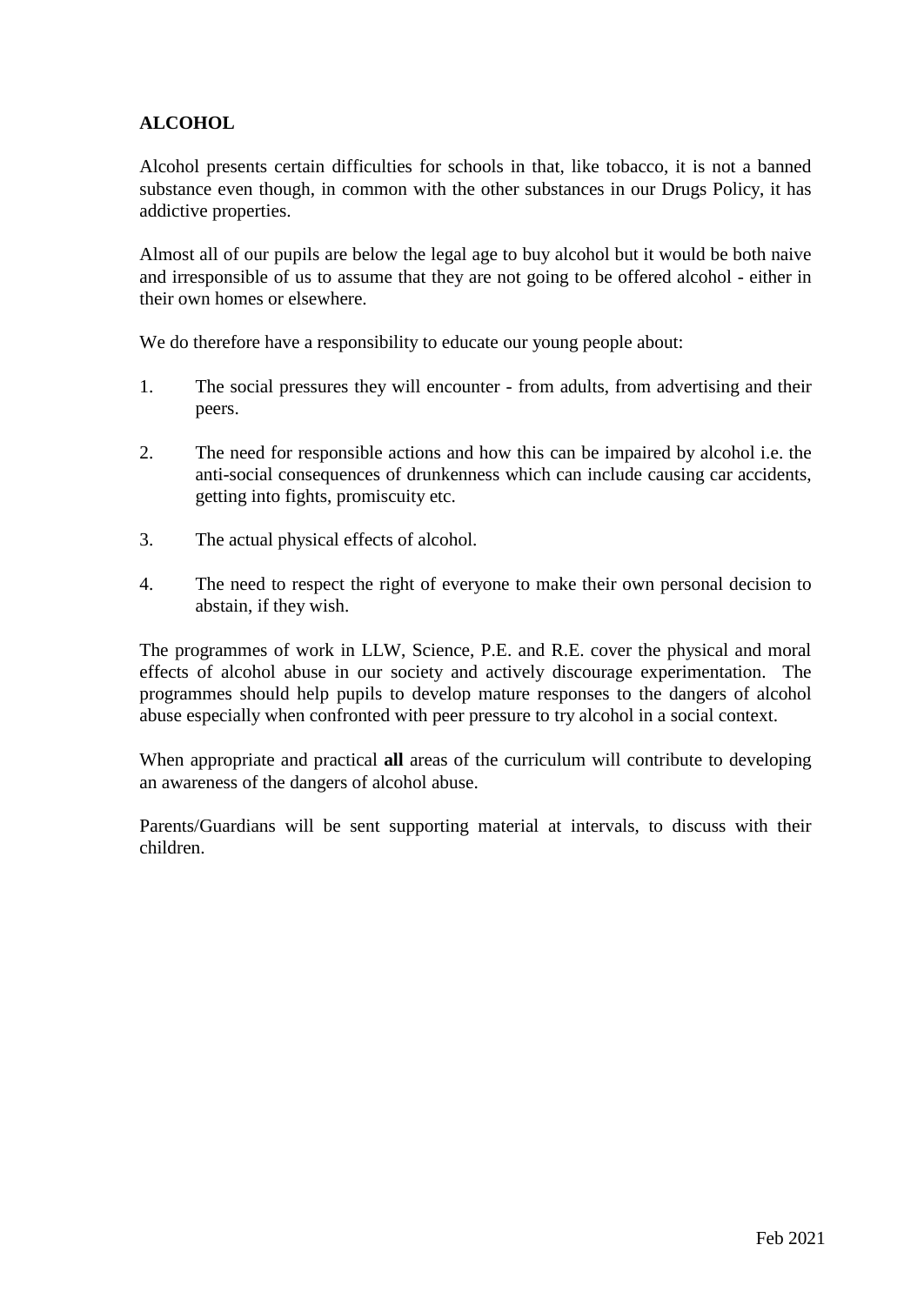### **ALCOHOL**

Alcohol presents certain difficulties for schools in that, like tobacco, it is not a banned substance even though, in common with the other substances in our Drugs Policy, it has addictive properties.

Almost all of our pupils are below the legal age to buy alcohol but it would be both naive and irresponsible of us to assume that they are not going to be offered alcohol - either in their own homes or elsewhere.

We do therefore have a responsibility to educate our young people about:

- 1. The social pressures they will encounter from adults, from advertising and their peers.
- 2. The need for responsible actions and how this can be impaired by alcohol i.e. the anti-social consequences of drunkenness which can include causing car accidents, getting into fights, promiscuity etc.
- 3. The actual physical effects of alcohol.
- 4. The need to respect the right of everyone to make their own personal decision to abstain, if they wish.

The programmes of work in LLW, Science, P.E. and R.E. cover the physical and moral effects of alcohol abuse in our society and actively discourage experimentation. The programmes should help pupils to develop mature responses to the dangers of alcohol abuse especially when confronted with peer pressure to try alcohol in a social context.

When appropriate and practical **all** areas of the curriculum will contribute to developing an awareness of the dangers of alcohol abuse.

Parents/Guardians will be sent supporting material at intervals, to discuss with their children.